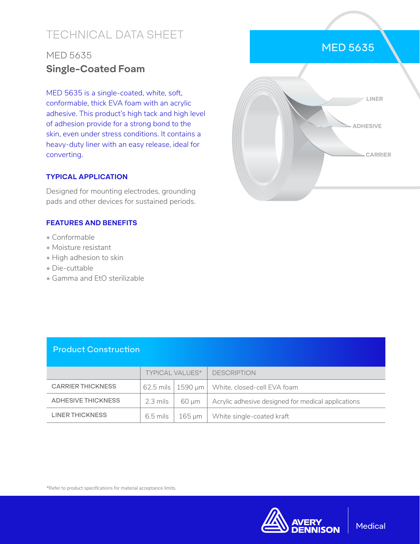# TECHNICAL DATA SHEET

## MED 5635 **Single-Coated Foam**

MED 5635 is a single-coated, white, soft, conformable, thick EVA foam with an acrylic adhesive. This product's high tack and high level of adhesion provide for a strong bond to the skin, even under stress conditions. It contains a heavy-duty liner with an easy release, ideal for converting.

### **TYPICAL APPLICATION**

Designed for mounting electrodes, grounding pads and other devices for sustained periods.

#### **FEATURES AND BENEFITS**

- Conformable
- Moisture resistant
- High adhesion to skin
- Die-cuttable
- Gamma and EtO sterilizable

|  |          | LINER                |  |
|--|----------|----------------------|--|
|  | ADHESIVE |                      |  |
|  | a ba     | <b>CARRIER</b><br>i. |  |
|  |          |                      |  |

MED 5635

### Product Construction

|                          | <b>TYPICAL VALUES*</b> |            | <b>DESCRIPTION</b>                                 |
|--------------------------|------------------------|------------|----------------------------------------------------|
| <b>CARRIER THICKNESS</b> |                        |            | 62.5 mils   1590 µm   White, closed-cell EVA foam  |
| ADHESIVE THICKNESS       | 2.3 mils 1             | 60 um      | Acrylic adhesive designed for medical applications |
| LINER THICKNESS          | $6.5$ mils $\parallel$ | - 165 um ∣ | White single-coated kraft                          |

\*Refer to product specifications for material acceptance limits.